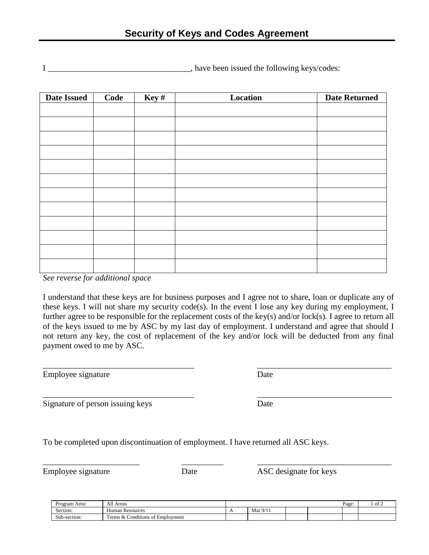I \_\_\_\_\_\_\_\_\_\_\_\_\_\_\_\_\_\_\_\_\_\_\_\_\_\_\_\_\_\_, have been issued the following keys/codes:

| <b>Date Issued</b> | Key#<br>Location<br>Code |  |  | <b>Date Returned</b> |  |  |  |  |
|--------------------|--------------------------|--|--|----------------------|--|--|--|--|
|                    |                          |  |  |                      |  |  |  |  |
|                    |                          |  |  |                      |  |  |  |  |
|                    |                          |  |  |                      |  |  |  |  |
|                    |                          |  |  |                      |  |  |  |  |
|                    |                          |  |  |                      |  |  |  |  |
|                    |                          |  |  |                      |  |  |  |  |
|                    |                          |  |  |                      |  |  |  |  |
|                    |                          |  |  |                      |  |  |  |  |
|                    |                          |  |  |                      |  |  |  |  |
|                    |                          |  |  |                      |  |  |  |  |
|                    |                          |  |  |                      |  |  |  |  |
|                    |                          |  |  |                      |  |  |  |  |
|                    |                          |  |  |                      |  |  |  |  |

*See reverse for additional space*

I understand that these keys are for business purposes and I agree not to share, loan or duplicate any of these keys. I will not share my security code(s). In the event I lose any key during my employment, I further agree to be responsible for the replacement costs of the key(s) and/or lock(s). I agree to return all of the keys issued to me by ASC by my last day of employment. I understand and agree that should I not return any key, the cost of replacement of the key and/or lock will be deducted from any final payment owed to me by ASC.

\_\_\_\_\_\_\_\_\_\_\_\_\_\_\_\_\_\_\_\_\_\_\_\_\_\_\_\_\_\_\_\_\_\_\_\_ \_\_\_\_\_\_\_\_\_\_\_\_\_\_\_\_\_\_\_\_\_\_\_\_\_\_\_\_\_\_\_\_

\_\_\_\_\_\_\_\_\_\_\_\_\_\_\_\_\_\_\_\_\_\_\_\_\_\_\_\_\_\_\_\_\_\_\_\_ \_\_\_\_\_\_\_\_\_\_\_\_\_\_\_\_\_\_\_\_\_\_\_\_\_\_\_\_\_\_\_\_

Employee signature Date

Signature of person issuing keys Date

To be completed upon discontinuation of employment. I have returned all ASC keys.

\_\_\_\_\_\_\_\_\_\_\_\_\_\_\_\_\_\_\_\_\_\_\_ \_\_\_\_\_\_\_\_\_\_ \_\_\_\_\_\_\_\_\_\_\_\_\_\_\_\_\_\_\_\_\_\_\_\_\_\_\_\_\_\_\_\_ Employee signature Date Date ASC designate for keys

| Area:<br>Program           | All<br>Area:                                                                       |     | Page:                       |  |  |  | of. |
|----------------------------|------------------------------------------------------------------------------------|-----|-----------------------------|--|--|--|-----|
| $\sim$<br>Section:         | $-$<br>Human Resources                                                             | . . | $\sim$ $\mu$<br>Mar<br>7/11 |  |  |  |     |
| $\sim$<br>-section:<br>Sub | $\cdots$<br>. .<br>m<br>Employment<br>onditions<br>erms<br>Xт<br>$\sim$<br>$\cdot$ |     |                             |  |  |  |     |